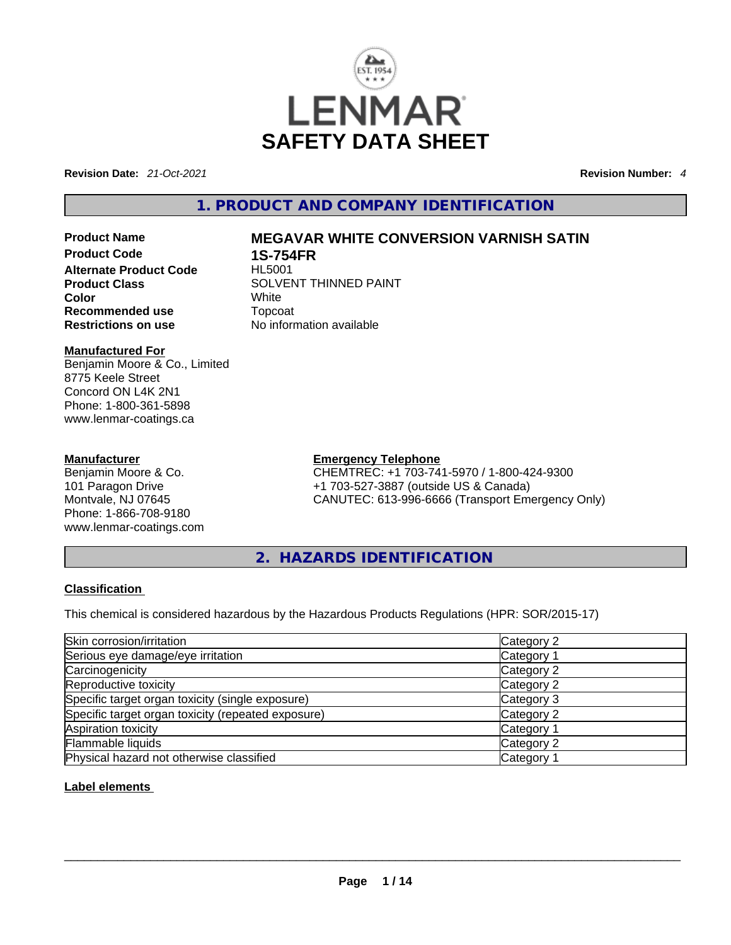

**Revision Date:** *21-Oct-2021* **Revision Number:** *4*

# **1. PRODUCT AND COMPANY IDENTIFICATION**

**Alternate Product Code Color** White **Recommended use** Topcoat **Restrictions on use** No information available

### **Manufactured For**

Benjamin Moore & Co., Limited 8775 Keele Street Concord ON L4K 2N1 Phone: 1-800-361-5898 www.lenmar-coatings.ca

#### **Manufacturer**

Benjamin Moore & Co. 101 Paragon Drive Montvale, NJ 07645 Phone: 1-866-708-9180 www.lenmar-coatings.com

# **Product Name 6 19 MEGAVAR WHITE CONVERSION VARNISH SATIN<br>
Product Code 6 29 18-754FR**

**1S-754FR**<br>HL5001 **Product Class SOLVENT THINNED PAINT** 

**Emergency Telephone**

CHEMTREC: +1 703-741-5970 / 1-800-424-9300 +1 703-527-3887 (outside US & Canada) CANUTEC: 613-996-6666 (Transport Emergency Only)

**2. HAZARDS IDENTIFICATION** 

### **Classification**

This chemical is considered hazardous by the Hazardous Products Regulations (HPR: SOR/2015-17)

| Skin corrosion/irritation                          | Category 2 |
|----------------------------------------------------|------------|
| Serious eye damage/eye irritation                  | Category 1 |
| Carcinogenicity                                    | Category 2 |
| Reproductive toxicity                              | Category 2 |
| Specific target organ toxicity (single exposure)   | Category 3 |
| Specific target organ toxicity (repeated exposure) | Category 2 |
| Aspiration toxicity                                | Category 1 |
| Flammable liquids                                  | Category 2 |
| Physical hazard not otherwise classified           | Category 1 |

### **Label elements**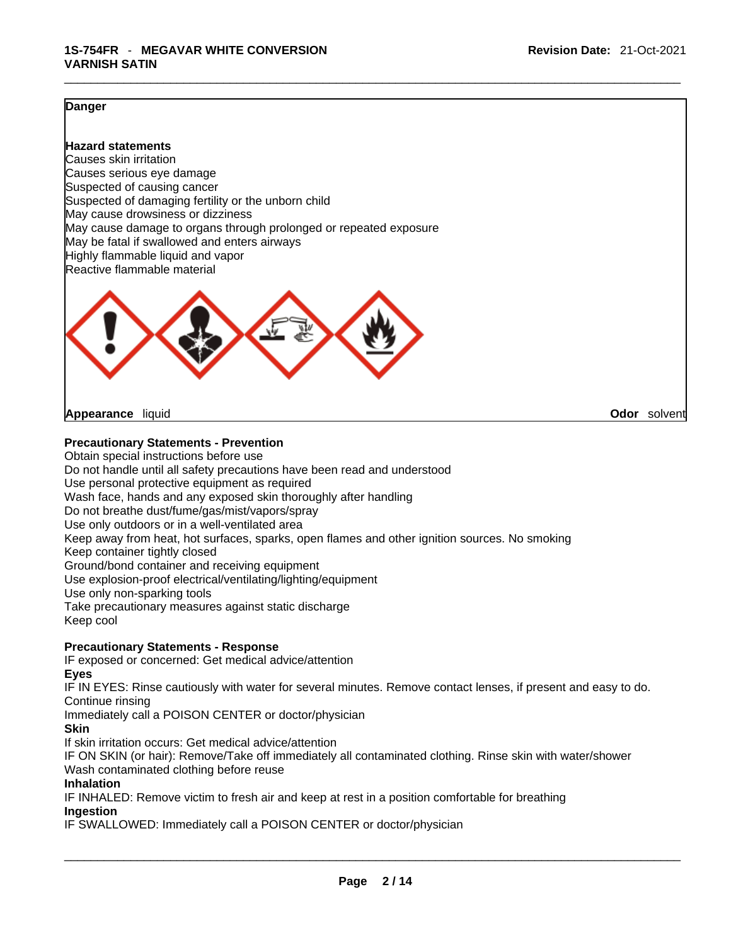#### **Danger**

**Hazard statements** Causes skin irritation Causes serious eye damage Suspected of causing cancer Suspected of damaging fertility or the unborn child May cause drowsiness or dizziness May cause damage to organs through prolonged or repeated exposure May be fatal if swallowed and enters airways Highly flammable liquid and vapor Reactive flammable material



**Appearance** liquid **Odor** *Solvent* **Appearance Contract Appearance Odor** solvent

#### **Precautionary Statements - Prevention**

Obtain special instructions before use Do not handle until all safety precautions have been read and understood Use personal protective equipment as required Wash face, hands and any exposed skin thoroughly after handling Do not breathe dust/fume/gas/mist/vapors/spray Use only outdoors or in a well-ventilated area Keep away from heat, hot surfaces, sparks, open flames and other ignition sources. No smoking Keep container tightly closed Ground/bond container and receiving equipment Use explosion-proof electrical/ventilating/lighting/equipment Use only non-sparking tools Take precautionary measures against static discharge Keep cool

#### **Precautionary Statements - Response**

IF exposed or concerned: Get medical advice/attention

**Eyes**

IF IN EYES: Rinse cautiously with water for several minutes. Remove contact lenses, if present and easy to do. Continue rinsing

Immediately call a POISON CENTER or doctor/physician

#### **Skin**

If skin irritation occurs: Get medical advice/attention

IF ON SKIN (or hair): Remove/Take off immediately all contaminated clothing. Rinse skin with water/shower Wash contaminated clothing before reuse

### **Inhalation**

IF INHALED: Remove victim to fresh air and keep at rest in a position comfortable for breathing **Ingestion**

IF SWALLOWED: Immediately call a POISON CENTER or doctor/physician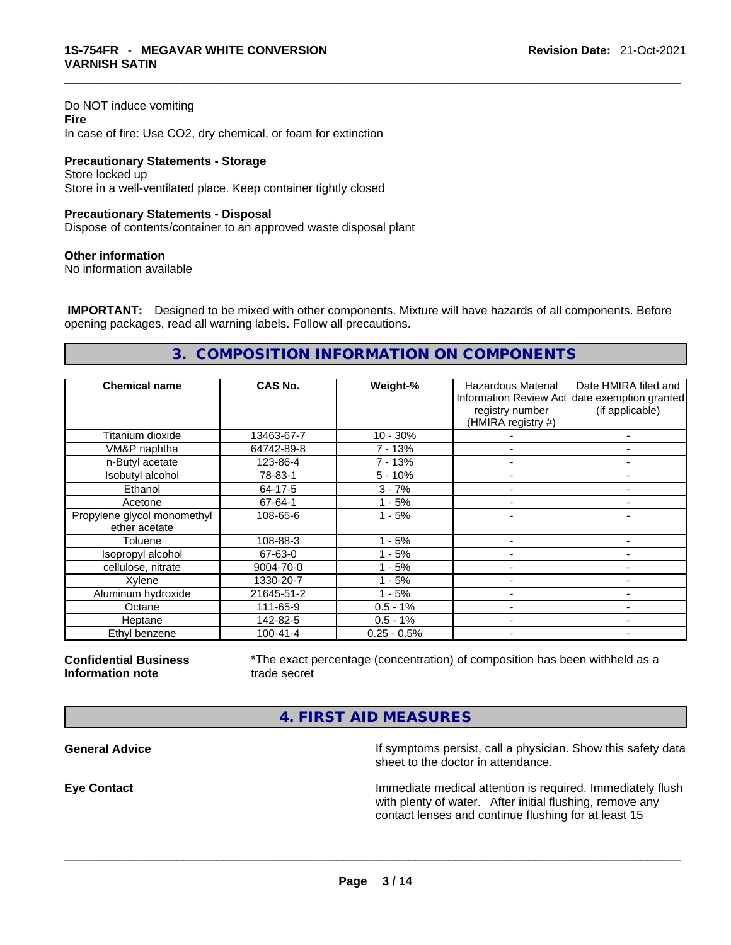Do NOT induce vomiting **Fire** In case of fire: Use CO2, dry chemical, or foam for extinction

**Precautionary Statements - Storage** Store locked up Store in a well-ventilated place. Keep container tightly closed

#### **Precautionary Statements - Disposal**

Dispose of contents/container to an approved waste disposal plant

#### **Other information**

No information available

 **IMPORTANT:** Designed to be mixed with other components. Mixture will have hazards of all components. Before opening packages, read all warning labels. Follow all precautions.

# **3. COMPOSITION INFORMATION ON COMPONENTS**

| <b>Chemical name</b>        | CAS No.        | Weight-%      | Hazardous Material<br>registry number<br>(HMIRA registry #) | Date HMIRA filed and<br>Information Review Act date exemption granted<br>(if applicable) |
|-----------------------------|----------------|---------------|-------------------------------------------------------------|------------------------------------------------------------------------------------------|
| Titanium dioxide            | 13463-67-7     | $10 - 30%$    |                                                             | $\overline{\phantom{a}}$                                                                 |
| VM&P naphtha                | 64742-89-8     | 7 - 13%       |                                                             | -                                                                                        |
| n-Butyl acetate             | 123-86-4       | 7 - 13%       | $\overline{\phantom{a}}$                                    | $\overline{\phantom{a}}$                                                                 |
| Isobutyl alcohol            | 78-83-1        | $5 - 10%$     |                                                             |                                                                                          |
| Ethanol                     | 64-17-5        | $3 - 7%$      |                                                             |                                                                                          |
| Acetone                     | 67-64-1        | - 5%          |                                                             |                                                                                          |
| Propylene glycol monomethyl | 108-65-6       | $1 - 5%$      |                                                             |                                                                                          |
| ether acetate               |                |               |                                                             |                                                                                          |
| Toluene                     | 108-88-3       | - 5%<br>1     |                                                             |                                                                                          |
| Isopropyl alcohol           | 67-63-0        | - 5%          |                                                             |                                                                                          |
| cellulose, nitrate          | 9004-70-0      | - 5%          |                                                             |                                                                                          |
| Xylene                      | 1330-20-7      | - 5%          |                                                             |                                                                                          |
| Aluminum hydroxide          | 21645-51-2     | $1 - 5%$      |                                                             | -                                                                                        |
| Octane                      | 111-65-9       | $0.5 - 1%$    | $\overline{\phantom{a}}$                                    | ۰                                                                                        |
| Heptane                     | 142-82-5       | $0.5 - 1%$    |                                                             | ۰                                                                                        |
| Ethyl benzene               | $100 - 41 - 4$ | $0.25 - 0.5%$ | $\overline{\phantom{a}}$                                    | -                                                                                        |

**Confidential Business Information note**

\*The exact percentage (concentration) of composition has been withheld as a trade secret

# **4. FIRST AID MEASURES**

**General Advice If** symptoms persist, call a physician. Show this safety data sheet to the doctor in attendance.

**Eye Contact Immediate medical attention is required. Immediately flush** Immediately flush with plenty of water. After initial flushing, remove any contact lenses and continue flushing for at least 15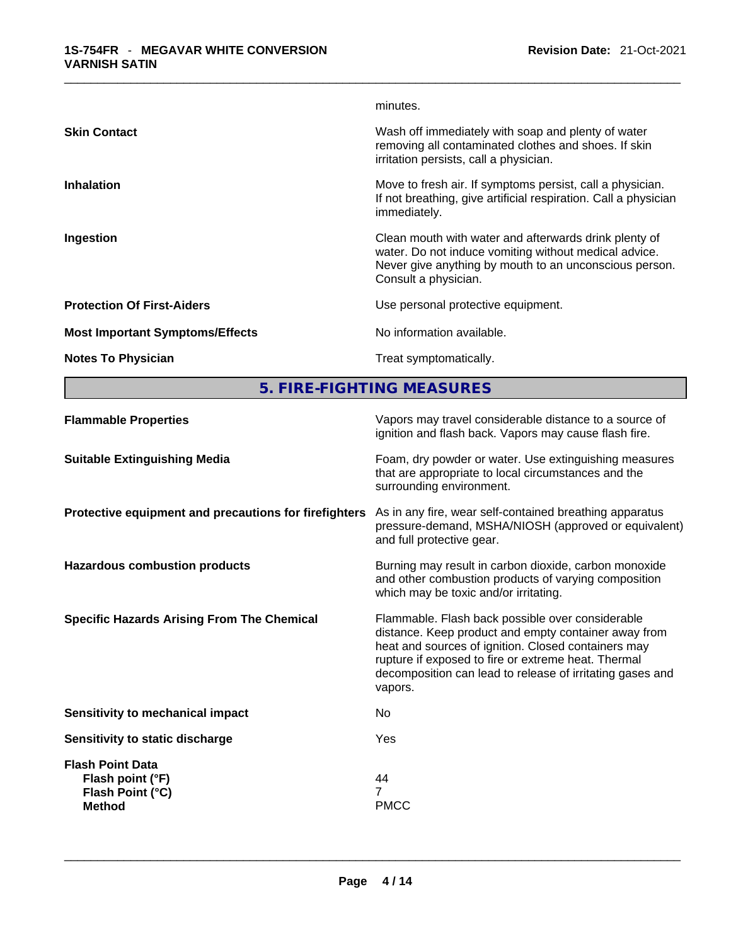|                                        | minutes.                                                                                                                                                                                         |
|----------------------------------------|--------------------------------------------------------------------------------------------------------------------------------------------------------------------------------------------------|
| <b>Skin Contact</b>                    | Wash off immediately with soap and plenty of water<br>removing all contaminated clothes and shoes. If skin<br>irritation persists, call a physician.                                             |
| <b>Inhalation</b>                      | Move to fresh air. If symptoms persist, call a physician.<br>If not breathing, give artificial respiration. Call a physician<br>immediately.                                                     |
| Ingestion                              | Clean mouth with water and afterwards drink plenty of<br>water. Do not induce vomiting without medical advice.<br>Never give anything by mouth to an unconscious person.<br>Consult a physician. |
| <b>Protection Of First-Aiders</b>      | Use personal protective equipment.                                                                                                                                                               |
| <b>Most Important Symptoms/Effects</b> | No information available.                                                                                                                                                                        |
| <b>Notes To Physician</b>              | Treat symptomatically.                                                                                                                                                                           |
|                                        |                                                                                                                                                                                                  |

**5. FIRE-FIGHTING MEASURES** 

| <b>Flammable Properties</b>                                                      | Vapors may travel considerable distance to a source of<br>ignition and flash back. Vapors may cause flash fire.                                                                                                                                                                                |
|----------------------------------------------------------------------------------|------------------------------------------------------------------------------------------------------------------------------------------------------------------------------------------------------------------------------------------------------------------------------------------------|
| <b>Suitable Extinguishing Media</b>                                              | Foam, dry powder or water. Use extinguishing measures<br>that are appropriate to local circumstances and the<br>surrounding environment.                                                                                                                                                       |
| Protective equipment and precautions for firefighters                            | As in any fire, wear self-contained breathing apparatus<br>pressure-demand, MSHA/NIOSH (approved or equivalent)<br>and full protective gear.                                                                                                                                                   |
| <b>Hazardous combustion products</b>                                             | Burning may result in carbon dioxide, carbon monoxide<br>and other combustion products of varying composition<br>which may be toxic and/or irritating.                                                                                                                                         |
| <b>Specific Hazards Arising From The Chemical</b>                                | Flammable. Flash back possible over considerable<br>distance. Keep product and empty container away from<br>heat and sources of ignition. Closed containers may<br>rupture if exposed to fire or extreme heat. Thermal<br>decomposition can lead to release of irritating gases and<br>vapors. |
| Sensitivity to mechanical impact                                                 | No                                                                                                                                                                                                                                                                                             |
| Sensitivity to static discharge                                                  | Yes                                                                                                                                                                                                                                                                                            |
| <b>Flash Point Data</b><br>Flash point (°F)<br>Flash Point (°C)<br><b>Method</b> | 44<br>7<br><b>PMCC</b>                                                                                                                                                                                                                                                                         |
|                                                                                  |                                                                                                                                                                                                                                                                                                |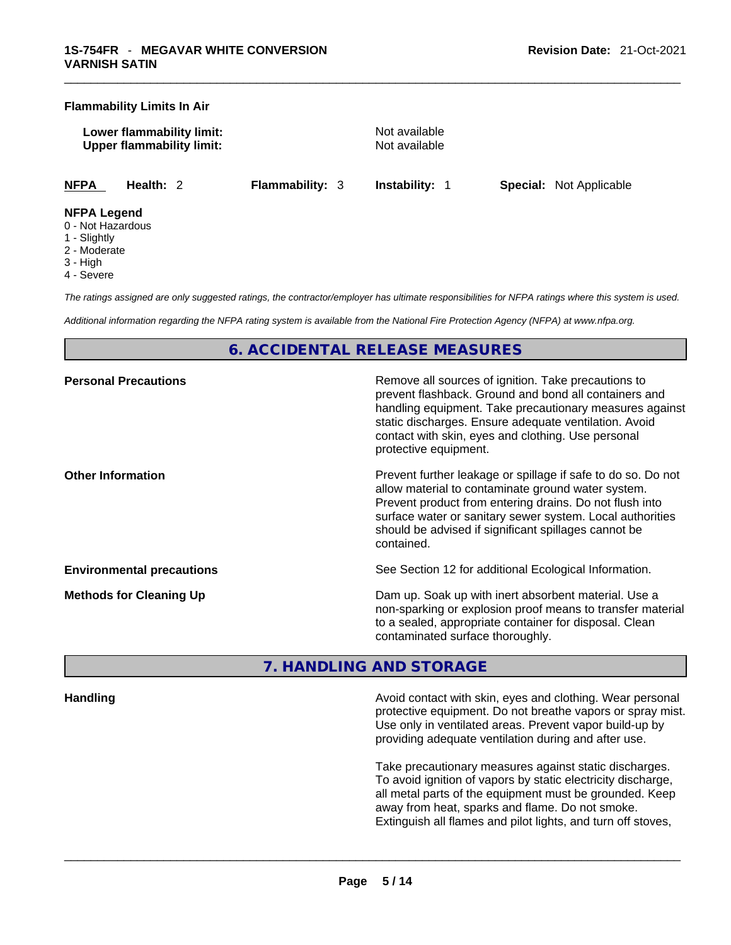#### **Flammability Limits In Air**

**Lower flammability limit:** Not available **Upper flammability limit:** Not available

**NFPA Health:** 2 **Flammability:** 3 **Instability:** 1 **Special:** Not Applicable

#### **NFPA Legend**

- 0 Not Hazardous
- 1 Slightly
- 2 Moderate
- 3 High
- 4 Severe

*The ratings assigned are only suggested ratings, the contractor/employer has ultimate responsibilities for NFPA ratings where this system is used.* 

*Additional information regarding the NFPA rating system is available from the National Fire Protection Agency (NFPA) at www.nfpa.org.* 

# **6. ACCIDENTAL RELEASE MEASURES**

| <b>Personal Precautions</b>      | Remove all sources of ignition. Take precautions to<br>prevent flashback. Ground and bond all containers and<br>handling equipment. Take precautionary measures against<br>static discharges. Ensure adequate ventilation. Avoid<br>contact with skin, eyes and clothing. Use personal<br>protective equipment.  |
|----------------------------------|------------------------------------------------------------------------------------------------------------------------------------------------------------------------------------------------------------------------------------------------------------------------------------------------------------------|
| <b>Other Information</b>         | Prevent further leakage or spillage if safe to do so. Do not<br>allow material to contaminate ground water system.<br>Prevent product from entering drains. Do not flush into<br>surface water or sanitary sewer system. Local authorities<br>should be advised if significant spillages cannot be<br>contained. |
| <b>Environmental precautions</b> | See Section 12 for additional Ecological Information.                                                                                                                                                                                                                                                            |
| <b>Methods for Cleaning Up</b>   | Dam up. Soak up with inert absorbent material. Use a<br>non-sparking or explosion proof means to transfer material<br>to a sealed, appropriate container for disposal. Clean<br>contaminated surface thoroughly.                                                                                                 |

### **7. HANDLING AND STORAGE**

**Handling Avoid contact with skin, eyes and clothing. Wear personal discriming the state of the Avoid contact with skin, eyes and clothing. Wear personal** protective equipment. Do not breathe vapors or spray mist. Use only in ventilated areas. Prevent vapor build-up by providing adequate ventilation during and after use.

> Take precautionary measures against static discharges. To avoid ignition of vapors by static electricity discharge, all metal parts of the equipment must be grounded. Keep away from heat, sparks and flame. Do not smoke. Extinguish all flames and pilot lights, and turn off stoves,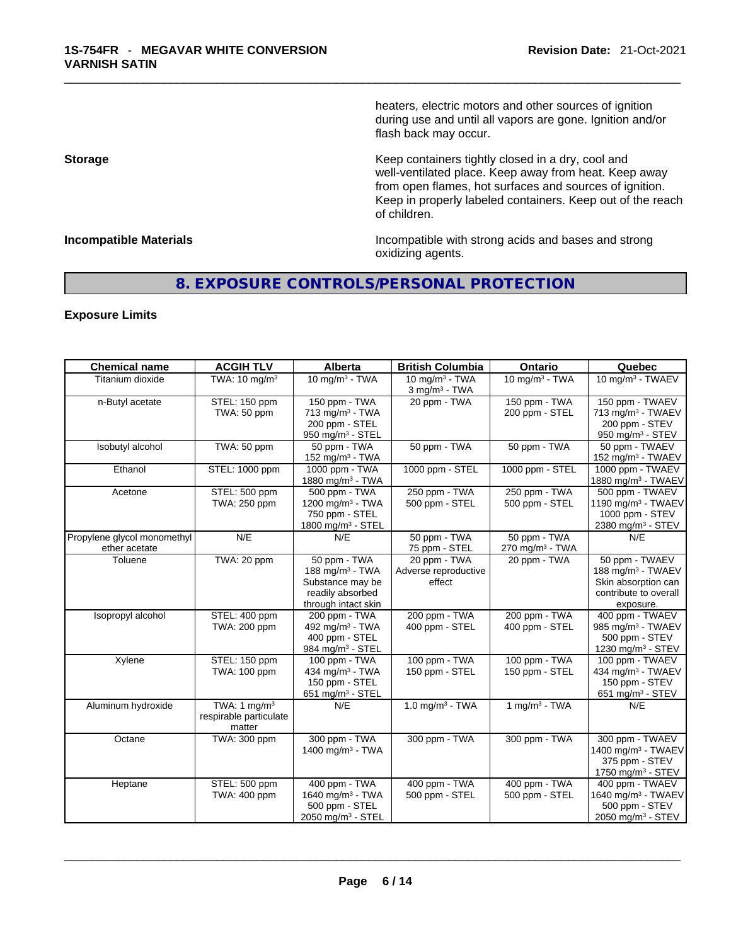heaters, electric motors and other sources of ignition during use and until all vapors are gone. Ignition and/or flash back may occur.

**Storage Storage Keep containers tightly closed in a dry, cool and** well-ventilated place. Keep away from heat. Keep away from open flames, hot surfaces and sources of ignition. Keep in properly labeled containers. Keep out of the reach of children.

**Incompatible Materials Incompatible Materials Incompatible with strong acids and bases and strong** oxidizing agents.

# **8. EXPOSURE CONTROLS/PERSONAL PROTECTION**

#### **Exposure Limits**

| <b>Chemical name</b>                         | <b>ACGIH TLV</b>                                   | <b>Alberta</b>                                                                                             | <b>British Columbia</b>                          | Ontario                                     | Quebec                                                                                                       |
|----------------------------------------------|----------------------------------------------------|------------------------------------------------------------------------------------------------------------|--------------------------------------------------|---------------------------------------------|--------------------------------------------------------------------------------------------------------------|
| Titanium dioxide                             | TWA: 10 mg/m <sup>3</sup>                          | 10 mg/m $3$ - TWA                                                                                          | 10 mg/m $3$ - TWA<br>$3$ mg/m <sup>3</sup> - TWA | 10 mg/m $3$ - TWA                           | 10 mg/m <sup>3</sup> - TWAEV                                                                                 |
| n-Butyl acetate                              | STEL: 150 ppm<br>TWA: 50 ppm                       | 150 ppm - TWA<br>$713$ mg/m <sup>3</sup> - TWA<br>200 ppm - STEL<br>950 mg/m $3 -$ STEL                    | 20 ppm - TWA                                     | 150 ppm - TWA<br>200 ppm - STEL             | 150 ppm - TWAEV<br>713 mg/m <sup>3</sup> - TWAEV<br>200 ppm - STEV<br>950 mg/m <sup>3</sup> - STEV           |
| Isobutyl alcohol                             | TWA: 50 ppm                                        | 50 ppm - TWA<br>152 mg/m <sup>3</sup> - TWA                                                                | 50 ppm - TWA                                     | 50 ppm - TWA                                | 50 ppm - TWAEV<br>152 mg/m <sup>3</sup> - TWAEV                                                              |
| Ethanol                                      | STEL: 1000 ppm                                     | 1000 ppm - TWA<br>1880 mg/m <sup>3</sup> - TWA                                                             | 1000 ppm - STEL                                  | 1000 ppm - STEL                             | 1000 ppm - TWAEV<br>1880 mg/m <sup>3</sup> - TWAEV                                                           |
| Acetone                                      | STEL: 500 ppm<br>TWA: 250 ppm                      | 500 ppm - TWA<br>1200 mg/m <sup>3</sup> - TWA<br>750 ppm - STEL<br>1800 mg/m <sup>3</sup> - STEL           | 250 ppm - TWA<br>500 ppm - STEL                  | 250 ppm - TWA<br>500 ppm - STEL             | 500 ppm - TWAEV<br>1190 mg/m <sup>3</sup> - TWAEV<br>1000 ppm - STEV<br>2380 mg/m <sup>3</sup> - STEV        |
| Propylene glycol monomethyl<br>ether acetate | N/E                                                | N/E                                                                                                        | 50 ppm - TWA<br>75 ppm - STEL                    | 50 ppm - TWA<br>270 mg/m <sup>3</sup> - TWA | N/F                                                                                                          |
| Toluene                                      | TWA: 20 ppm                                        | 50 ppm - TWA<br>188 mg/m <sup>3</sup> - TWA<br>Substance may be<br>readily absorbed<br>through intact skin | 20 ppm - TWA<br>Adverse reproductive<br>effect   | 20 ppm - TWA                                | 50 ppm - TWAEV<br>188 mg/m <sup>3</sup> - TWAEV<br>Skin absorption can<br>contribute to overall<br>exposure. |
| Isopropyl alcohol                            | STEL: 400 ppm<br>TWA: 200 ppm                      | 200 ppm - TWA<br>492 mg/m <sup>3</sup> - TWA<br>400 ppm - STEL<br>984 mg/m <sup>3</sup> - STEL             | 200 ppm - TWA<br>400 ppm - STEL                  | 200 ppm - TWA<br>400 ppm - STEL             | 400 ppm - TWAEV<br>985 mg/m <sup>3</sup> - TWAEV<br>500 ppm - STEV<br>1230 mg/m <sup>3</sup> - STEV          |
| Xylene                                       | STEL: 150 ppm<br>TWA: 100 ppm                      | 100 ppm - TWA<br>434 mg/m <sup>3</sup> - TWA<br>150 ppm - STEL<br>651 mg/m <sup>3</sup> - STEL             | 100 ppm - TWA<br>150 ppm - STEL                  | 100 ppm - TWA<br>150 ppm - STEL             | 100 ppm - TWAEV<br>434 mg/m <sup>3</sup> - TWAEV<br>150 ppm - STEV<br>651 mg/m <sup>3</sup> - STEV           |
| Aluminum hydroxide                           | TWA: 1 $mg/m3$<br>respirable particulate<br>matter | N/E                                                                                                        | $1.0$ mg/m <sup>3</sup> - TWA                    | $1$ mg/m <sup>3</sup> - TWA                 | N/E                                                                                                          |
| Octane                                       | TWA: 300 ppm                                       | 300 ppm - TWA<br>1400 mg/m <sup>3</sup> - TWA                                                              | 300 ppm - TWA                                    | 300 ppm - TWA                               | 300 ppm - TWAEV<br>1400 mg/m <sup>3</sup> - TWAEV<br>375 ppm - STEV<br>1750 mg/m <sup>3</sup> - STEV         |
| Heptane                                      | STEL: 500 ppm<br>TWA: 400 ppm                      | 400 ppm - TWA<br>1640 mg/m <sup>3</sup> - TWA<br>500 ppm - STEL<br>2050 mg/m <sup>3</sup> - STEL           | 400 ppm - TWA<br>500 ppm - STEL                  | 400 ppm - TWA<br>500 ppm - STEL             | 400 ppm - TWAEV<br>1640 mg/m <sup>3</sup> - TWAEV<br>500 ppm - STEV<br>2050 mg/m <sup>3</sup> - STEV         |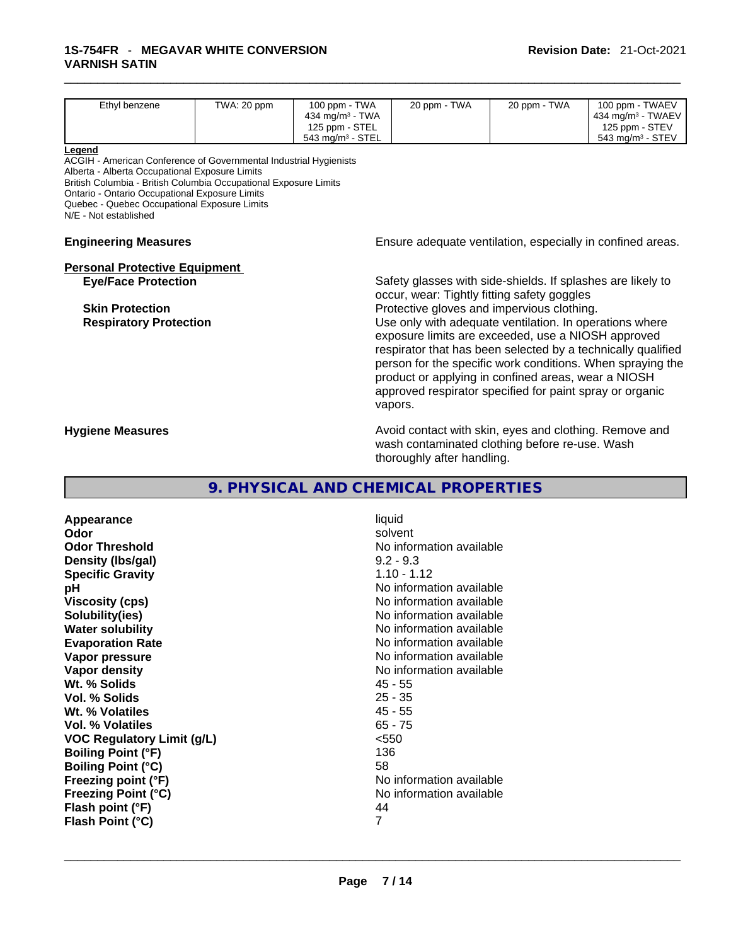| Ethyl benzene                                                                                                                                                                                                                                                                                                                | TWA: 20 ppm | 100 ppm - TWA<br>434 mg/m <sup>3</sup> - TWA   | 20 ppm - TWA                                                                                                                                                                                                                                                                                                                                                                                            | 20 ppm - TWA | 100 ppm - TWAEV<br>434 mg/m <sup>3</sup> - TWAEV                                                                           |
|------------------------------------------------------------------------------------------------------------------------------------------------------------------------------------------------------------------------------------------------------------------------------------------------------------------------------|-------------|------------------------------------------------|---------------------------------------------------------------------------------------------------------------------------------------------------------------------------------------------------------------------------------------------------------------------------------------------------------------------------------------------------------------------------------------------------------|--------------|----------------------------------------------------------------------------------------------------------------------------|
|                                                                                                                                                                                                                                                                                                                              |             | 125 ppm - STEL<br>543 mg/m <sup>3</sup> - STEL |                                                                                                                                                                                                                                                                                                                                                                                                         |              | 125 ppm - STEV<br>543 mg/m <sup>3</sup> - STEV                                                                             |
| Legend<br>ACGIH - American Conference of Governmental Industrial Hygienists<br>Alberta - Alberta Occupational Exposure Limits<br>British Columbia - British Columbia Occupational Exposure Limits<br>Ontario - Ontario Occupational Exposure Limits<br>Quebec - Quebec Occupational Exposure Limits<br>N/E - Not established |             |                                                |                                                                                                                                                                                                                                                                                                                                                                                                         |              |                                                                                                                            |
| <b>Engineering Measures</b>                                                                                                                                                                                                                                                                                                  |             |                                                |                                                                                                                                                                                                                                                                                                                                                                                                         |              | Ensure adequate ventilation, especially in confined areas.                                                                 |
| <b>Personal Protective Equipment</b><br><b>Eye/Face Protection</b><br><b>Skin Protection</b><br><b>Respiratory Protection</b>                                                                                                                                                                                                |             |                                                | Safety glasses with side-shields. If splashes are likely to<br>occur, wear: Tightly fitting safety goggles<br>Protective gloves and impervious clothing.<br>Use only with adequate ventilation. In operations where<br>exposure limits are exceeded, use a NIOSH approved<br>product or applying in confined areas, wear a NIOSH<br>approved respirator specified for paint spray or organic<br>vapors. |              | respirator that has been selected by a technically qualified<br>person for the specific work conditions. When spraying the |
| <b>Hygiene Measures</b>                                                                                                                                                                                                                                                                                                      |             |                                                | Avoid contact with skin, eyes and clothing. Remove and<br>wash contaminated clothing before re-use. Wash<br>thoroughly after handling.                                                                                                                                                                                                                                                                  |              |                                                                                                                            |

### **9. PHYSICAL AND CHEMICAL PROPERTIES**

**Appearance** liquid **Odor Solvent Solvent Solvent Solvent Odor Threshold**<br> **Density (Ibs/aal)**<br> **Density (Ibs/aal)**<br> **Density (Ibs/aal)**<br> **Density (Ibs/aal) Density** (Ibs/gal) **Specific Gravity 1.10 - 1.12 pH pH No** information available **Viscosity (cps) Viscosity (cps) No information available Solubility(ies)**<br> **No information available**<br> **Water solubility**<br> **Water solubility Water solubility Water Solubility**<br> **Evaporation Rate** Moinformation available<br>
No information available **Vapor pressure**<br> **Vapor density**<br> **Vapor density**<br> **Vapor density**<br> **Vapor density Wt. % Solids** 45 - 55 **Vol. % Solids** 25 - 35 **Wt. % Volatiles Vol. % Volatiles** 65 - 75 **VOC Regulatory Limit (g/L)**  $\leq$  <550<br> **Boiling Point (°F)** 136 **Boiling Point (°F) Boiling Point (°C)** 58 **Freezing point (°F)**<br> **Freezing Point (°C)**<br> **Freezing Point (°C)**<br> **C No** information available **Flash point (°F)** 44<br> **Flash Point (°C)** 7 **Flash Point (°C)** 7

**Evaporation Rate** No information available **No information available** No information available<br>44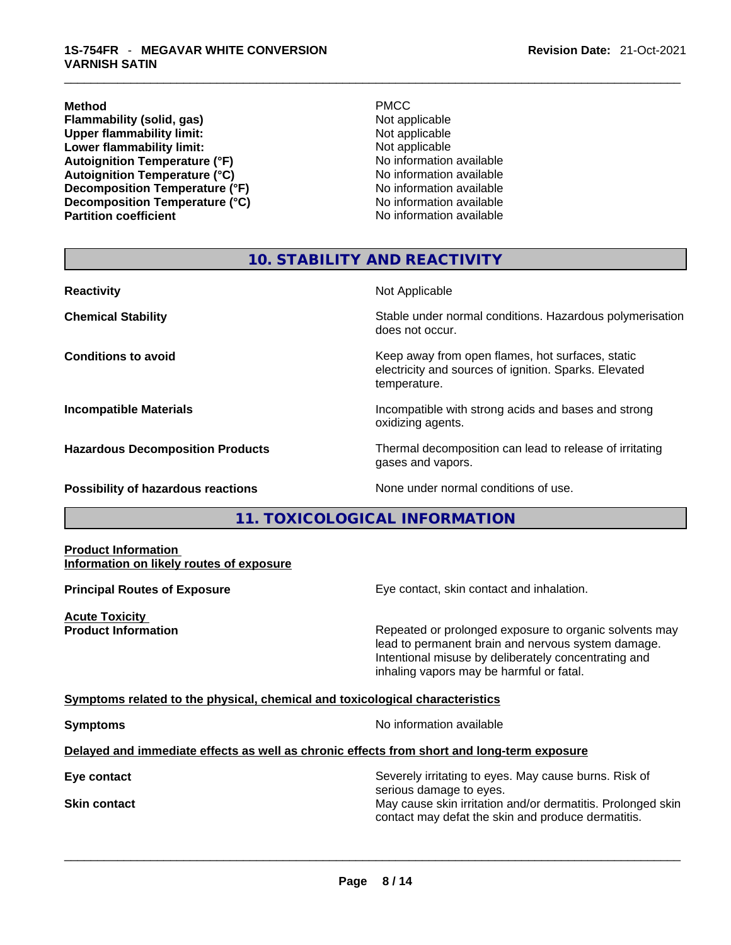**Flammability (solid, gas)**<br> **Commability limit:**<br>
Upper flammability limit:<br>
Not applicable **Upper flammability limit:**<br> **Lower flammability limit:**<br>
Not applicable<br>
Not applicable **Lower flammability limit: Autoignition Temperature (°F)** No information available **Autoignition Temperature (°C)** No information available **Decomposition Temperature (°F)** No information available **Decomposition Temperature (°C)**<br> **Partition coefficient**<br> **Partition coefficient**<br> **No** information available

**Method** PMCC

**No information available** 

# **10. STABILITY AND REACTIVITY**

| <b>Reactivity</b>                         | Not Applicable                                                                                                            |
|-------------------------------------------|---------------------------------------------------------------------------------------------------------------------------|
| <b>Chemical Stability</b>                 | Stable under normal conditions. Hazardous polymerisation<br>does not occur.                                               |
| <b>Conditions to avoid</b>                | Keep away from open flames, hot surfaces, static<br>electricity and sources of ignition. Sparks. Elevated<br>temperature. |
| <b>Incompatible Materials</b>             | Incompatible with strong acids and bases and strong<br>oxidizing agents.                                                  |
| <b>Hazardous Decomposition Products</b>   | Thermal decomposition can lead to release of irritating<br>gases and vapors.                                              |
| <b>Possibility of hazardous reactions</b> | None under normal conditions of use.                                                                                      |

# **11. TOXICOLOGICAL INFORMATION**

#### **Product Information Information on likely routes of exposure**

**Acute Toxicity** 

**Principal Routes of Exposure Exposure** Eye contact, skin contact and inhalation.

**Product Information Repeated or prolonged exposure to organic solvents may** lead to permanent brain and nervous system damage. Intentional misuse by deliberately concentrating and inhaling vapors may be harmful or fatal.

#### **Symptoms related to the physical,chemical and toxicological characteristics**

**Symptoms Symptoms No information available** 

#### **Delayed and immediate effects as well as chronic effects from short and long-term exposure**

**Eye contact Exercise 2018** Severely irritating to eyes. May cause burns. Risk of serious damage to eyes. **Skin contact May cause skin irritation and/or dermatitis. Prolonged skin Skin contact May cause skin irritation and/or dermatitis. Prolonged skin** contact may defat the skin and produce dermatitis.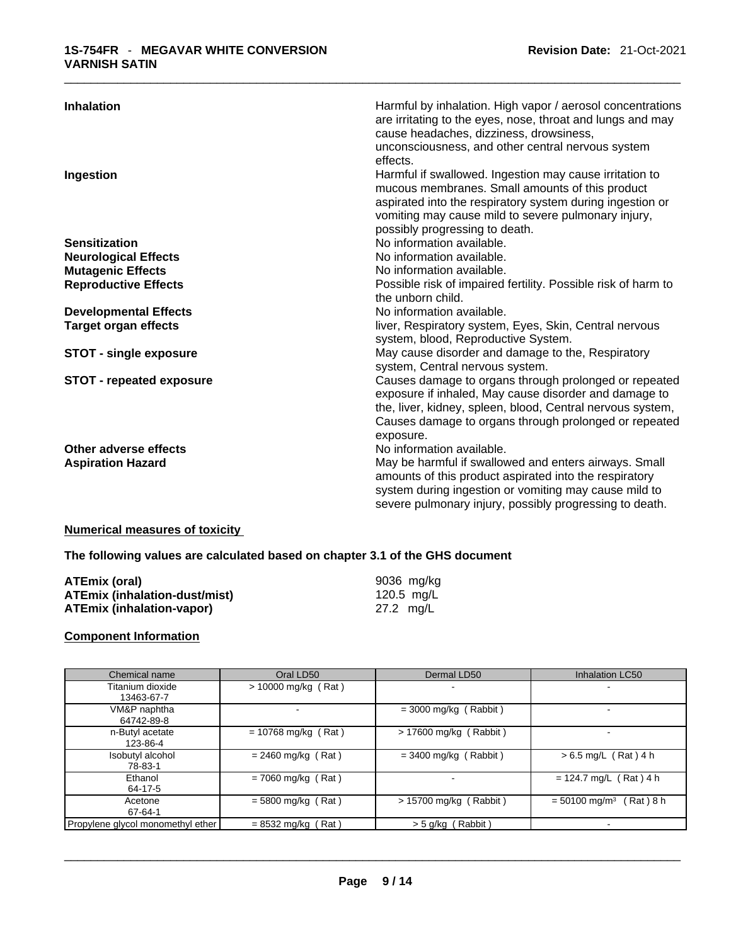| <b>Inhalation</b>                                 | Harmful by inhalation. High vapor / aerosol concentrations<br>are irritating to the eyes, nose, throat and lungs and may<br>cause headaches, dizziness, drowsiness,<br>unconsciousness, and other central nervous system<br>effects.                             |
|---------------------------------------------------|------------------------------------------------------------------------------------------------------------------------------------------------------------------------------------------------------------------------------------------------------------------|
| Ingestion                                         | Harmful if swallowed. Ingestion may cause irritation to<br>mucous membranes. Small amounts of this product<br>aspirated into the respiratory system during ingestion or<br>vomiting may cause mild to severe pulmonary injury,<br>possibly progressing to death. |
| <b>Sensitization</b>                              | No information available.                                                                                                                                                                                                                                        |
| <b>Neurological Effects</b>                       | No information available.                                                                                                                                                                                                                                        |
| <b>Mutagenic Effects</b>                          | No information available.                                                                                                                                                                                                                                        |
| <b>Reproductive Effects</b>                       | Possible risk of impaired fertility. Possible risk of harm to<br>the unborn child.                                                                                                                                                                               |
| <b>Developmental Effects</b>                      | No information available.                                                                                                                                                                                                                                        |
| <b>Target organ effects</b>                       | liver, Respiratory system, Eyes, Skin, Central nervous<br>system, blood, Reproductive System.                                                                                                                                                                    |
| <b>STOT - single exposure</b>                     | May cause disorder and damage to the, Respiratory<br>system, Central nervous system.                                                                                                                                                                             |
| <b>STOT - repeated exposure</b>                   | Causes damage to organs through prolonged or repeated<br>exposure if inhaled, May cause disorder and damage to<br>the, liver, kidney, spleen, blood, Central nervous system,<br>Causes damage to organs through prolonged or repeated<br>exposure.               |
| Other adverse effects<br><b>Aspiration Hazard</b> | No information available.<br>May be harmful if swallowed and enters airways. Small<br>amounts of this product aspirated into the respiratory<br>system during ingestion or vomiting may cause mild to<br>severe pulmonary injury, possibly progressing to death. |

# **Numerical measures of toxicity**

**The following values are calculated based on chapter 3.1 of the GHS document**

| ATEmix (oral)                        | 9036 mg/kg |
|--------------------------------------|------------|
| <b>ATEmix (inhalation-dust/mist)</b> | 120.5 mg/L |
| <b>ATEmix (inhalation-vapor)</b>     | 27.2 mg/L  |

# **Component Information**

| Chemical name                     | Oral LD50             | Dermal LD50              | <b>Inhalation LC50</b>                    |
|-----------------------------------|-----------------------|--------------------------|-------------------------------------------|
| Titanium dioxide<br>13463-67-7    | $> 10000$ mg/kg (Rat) |                          |                                           |
| VM&P naphtha<br>64742-89-8        | ۰.                    | $=$ 3000 mg/kg (Rabbit)  |                                           |
| n-Butyl acetate<br>123-86-4       | $= 10768$ mg/kg (Rat) | $> 17600$ mg/kg (Rabbit) |                                           |
| Isobutyl alcohol<br>78-83-1       | $= 2460$ mg/kg (Rat)  | $=$ 3400 mg/kg (Rabbit)  | $> 6.5$ mg/L (Rat) 4 h                    |
| Ethanol<br>64-17-5                | $= 7060$ mg/kg (Rat)  | ۰.                       | $= 124.7$ mg/L (Rat) 4 h                  |
| Acetone<br>67-64-1                | $= 5800$ mg/kg (Rat)  | $> 15700$ mg/kg (Rabbit) | $= 50100$ mg/m <sup>3</sup><br>(Rat ) 8 h |
| Propylene glycol monomethyl ether | $= 8532$ mg/kg (Rat)  | > 5 g/kg (Rabbit)        |                                           |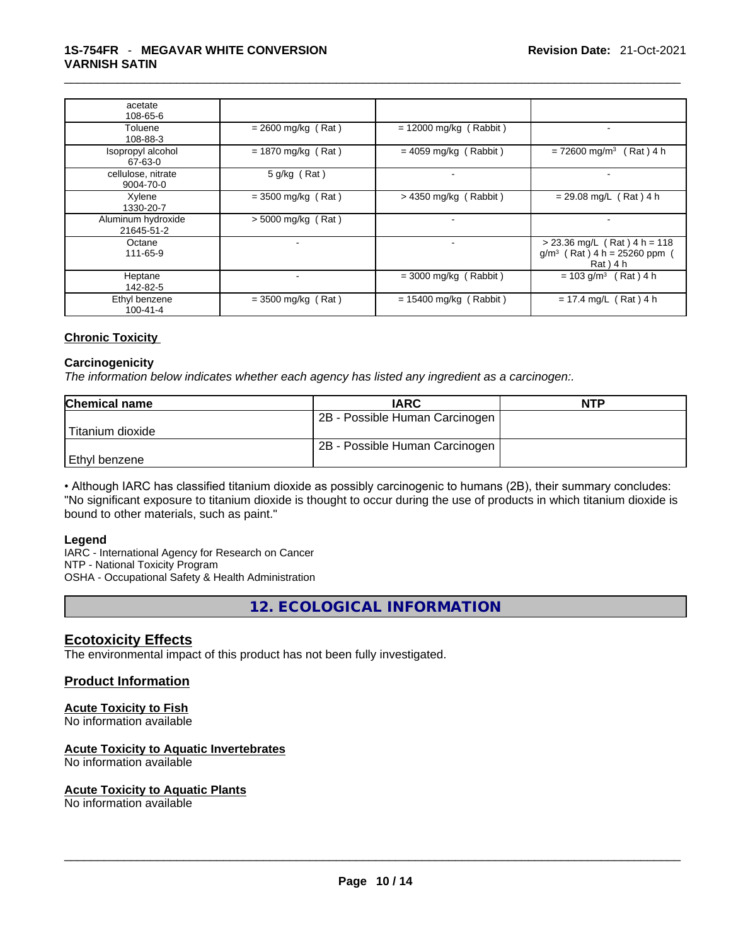| acetate<br>108-65-6              |                      |                          |                                                                              |
|----------------------------------|----------------------|--------------------------|------------------------------------------------------------------------------|
| Toluene<br>108-88-3              | $= 2600$ mg/kg (Rat) | $= 12000$ mg/kg (Rabbit) |                                                                              |
| Isopropyl alcohol<br>67-63-0     | $= 1870$ mg/kg (Rat) | $= 4059$ mg/kg (Rabbit)  | $= 72600$ mg/m <sup>3</sup> (Rat) 4 h                                        |
| cellulose, nitrate<br>9004-70-0  | 5 g/kg (Rat)         | $\blacksquare$           |                                                                              |
| Xylene<br>1330-20-7              | $=$ 3500 mg/kg (Rat) | $> 4350$ mg/kg (Rabbit)  | $= 29.08$ mg/L (Rat) 4 h                                                     |
| Aluminum hydroxide<br>21645-51-2 | $>$ 5000 mg/kg (Rat) | $\overline{\phantom{a}}$ |                                                                              |
| Octane<br>111-65-9               | ۰                    | $\blacksquare$           | $> 23.36$ mg/L (Rat) 4 h = 118<br>$g/m^3$ (Rat) 4 h = 25260 ppm<br>Rat ) 4 h |
| Heptane<br>142-82-5              |                      | $=$ 3000 mg/kg (Rabbit)  | $= 103$ g/m <sup>3</sup> (Rat) 4 h                                           |
| Ethyl benzene<br>$100 - 41 - 4$  | $=$ 3500 mg/kg (Rat) | $= 15400$ mg/kg (Rabbit) | $= 17.4$ mg/L (Rat) 4 h                                                      |

#### **Chronic Toxicity**

#### **Carcinogenicity**

*The information below indicates whether each agency has listed any ingredient as a carcinogen:.* 

| <b>Chemical name</b> | <b>IARC</b>                    | <b>NTP</b> |
|----------------------|--------------------------------|------------|
|                      | 2B - Possible Human Carcinogen |            |
| l Titanium dioxide   |                                |            |
|                      | 2B - Possible Human Carcinogen |            |
| Ethyl benzene        |                                |            |

• Although IARC has classified titanium dioxide as possibly carcinogenic to humans (2B), their summary concludes: "No significant exposure to titanium dioxide is thought to occur during the use of products in which titanium dioxide is bound to other materials, such as paint."

#### **Legend**

IARC - International Agency for Research on Cancer NTP - National Toxicity Program OSHA - Occupational Safety & Health Administration

**12. ECOLOGICAL INFORMATION** 

### **Ecotoxicity Effects**

The environmental impact of this product has not been fully investigated.

#### **Product Information**

#### **Acute Toxicity to Fish**

No information available

#### **Acute Toxicity to Aquatic Invertebrates**

No information available

#### **Acute Toxicity to Aquatic Plants**

No information available \_\_\_\_\_\_\_\_\_\_\_\_\_\_\_\_\_\_\_\_\_\_\_\_\_\_\_\_\_\_\_\_\_\_\_\_\_\_\_\_\_\_\_\_\_\_\_\_\_\_\_\_\_\_\_\_\_\_\_\_\_\_\_\_\_\_\_\_\_\_\_\_\_\_\_\_\_\_\_\_\_\_\_\_\_\_\_\_\_\_\_\_\_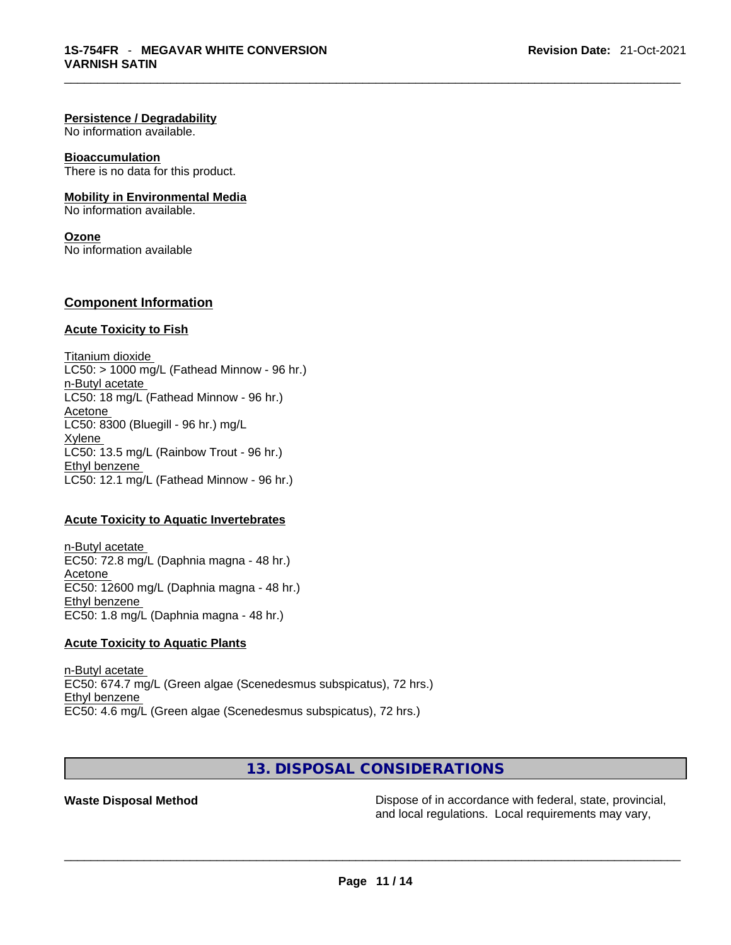#### **Persistence / Degradability**

No information available.

#### **Bioaccumulation**

There is no data for this product.

#### **Mobility in Environmental Media**

No information available.

# **Ozone**

No information available

#### **Component Information**

#### **Acute Toxicity to Fish**

Titanium dioxide  $LC50:$  > 1000 mg/L (Fathead Minnow - 96 hr.) n-Butyl acetate LC50: 18 mg/L (Fathead Minnow - 96 hr.) Acetone LC50: 8300 (Bluegill - 96 hr.) mg/L **Xylene** LC50: 13.5 mg/L (Rainbow Trout - 96 hr.) Ethyl benzene LC50: 12.1 mg/L (Fathead Minnow - 96 hr.)

#### **Acute Toxicity to Aquatic Invertebrates**

n-Butyl acetate EC50: 72.8 mg/L (Daphnia magna - 48 hr.) Acetone EC50: 12600 mg/L (Daphnia magna - 48 hr.) Ethyl benzene EC50: 1.8 mg/L (Daphnia magna - 48 hr.)

#### **Acute Toxicity to Aquatic Plants**

n-Butyl acetate EC50: 674.7 mg/L (Green algae (Scenedesmus subspicatus), 72 hrs.) Ethyl benzene EC50: 4.6 mg/L (Green algae (Scenedesmus subspicatus), 72 hrs.)

**13. DISPOSAL CONSIDERATIONS** 

**Waste Disposal Method Dispose of in accordance with federal, state, provincial, waste Dispose of in accordance with federal, state, provincial, and local regulations. Local requirements may vary,** and local regulations. Local requirements may vary, \_\_\_\_\_\_\_\_\_\_\_\_\_\_\_\_\_\_\_\_\_\_\_\_\_\_\_\_\_\_\_\_\_\_\_\_\_\_\_\_\_\_\_\_\_\_\_\_\_\_\_\_\_\_\_\_\_\_\_\_\_\_\_\_\_\_\_\_\_\_\_\_\_\_\_\_\_\_\_\_\_\_\_\_\_\_\_\_\_\_\_\_\_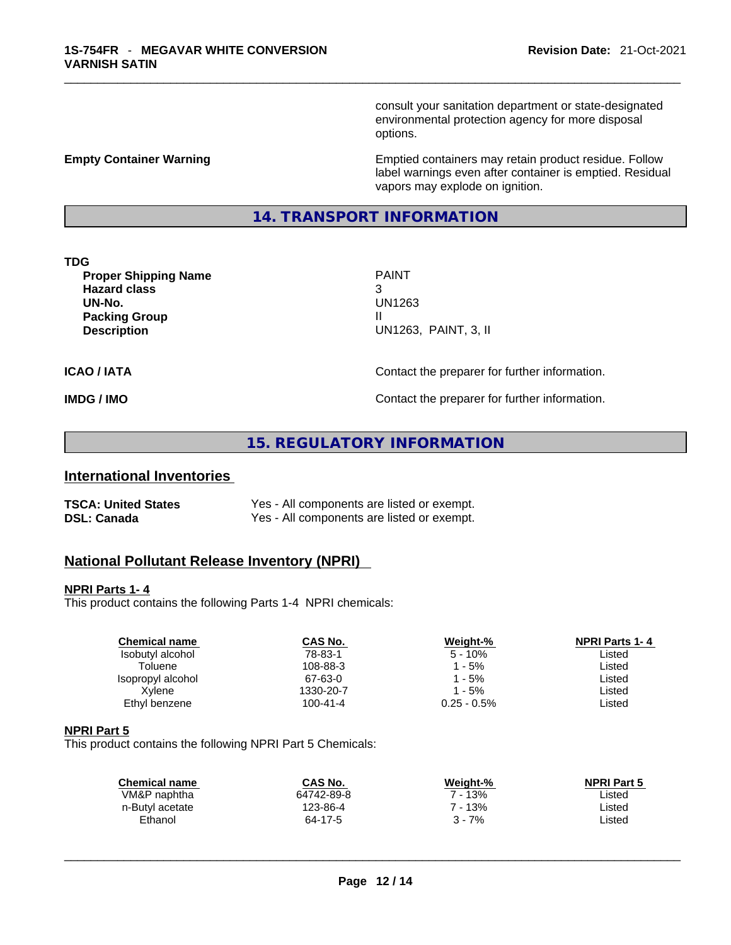consult your sanitation department or state-designated environmental protection agency for more disposal options.

#### **Empty Container Warning <b>Emptied** Containers may retain product residue. Follow label warnings even after container is emptied. Residual vapors may explode on ignition.

# **14. TRANSPORT INFORMATION**

#### **TDG**

**Proper Shipping Name PAINT Hazard class** 3 **UN-No.** UN1263 **Packing Group III Description** UN1263, PAINT, 3, II

**ICAO / IATA ICAO / IATA Contact the preparer for further information.** 

**IMDG / IMO Contact the preparer for further information.** 

# **15. REGULATORY INFORMATION**

# **International Inventories**

| <b>TSCA: United States</b> | Yes - All components are listed or exempt. |
|----------------------------|--------------------------------------------|
| <b>DSL: Canada</b>         | Yes - All components are listed or exempt. |

# **National Pollutant Release Inventory (NPRI)**

#### **NPRI Parts 1- 4**

This product contains the following Parts 1-4 NPRI chemicals:

| <b>Chemical name</b> | CAS No.   | Weight-%       | <b>NPRI Parts 1-4</b> |
|----------------------|-----------|----------------|-----------------------|
| Isobutyl alcohol     | 78-83-1   | $5 - 10%$      | Listed                |
| Toluene              | 108-88-3  | 1 - 5%         | Listed                |
| Isopropyl alcohol    | 67-63-0   | 1 - 5%         | Listed                |
| Xvlene               | 1330-20-7 | - 5%           | ∟isted                |
| Ethyl benzene        | 100-41-4  | $0.25 - 0.5\%$ | ∟isted                |
|                      |           |                |                       |

#### **NPRI Part 5**

This product contains the following NPRI Part 5 Chemicals:

| CAS No.    | Weight-% | <b>NPRI Part 5</b> |  |
|------------|----------|--------------------|--|
| 64742-89-8 | ' - 13%  | Listed             |  |
| 123-86-4   | 7 - 13%  | Listed             |  |
| 64-17-5    | $3 - 7%$ | Listed             |  |
|            |          |                    |  |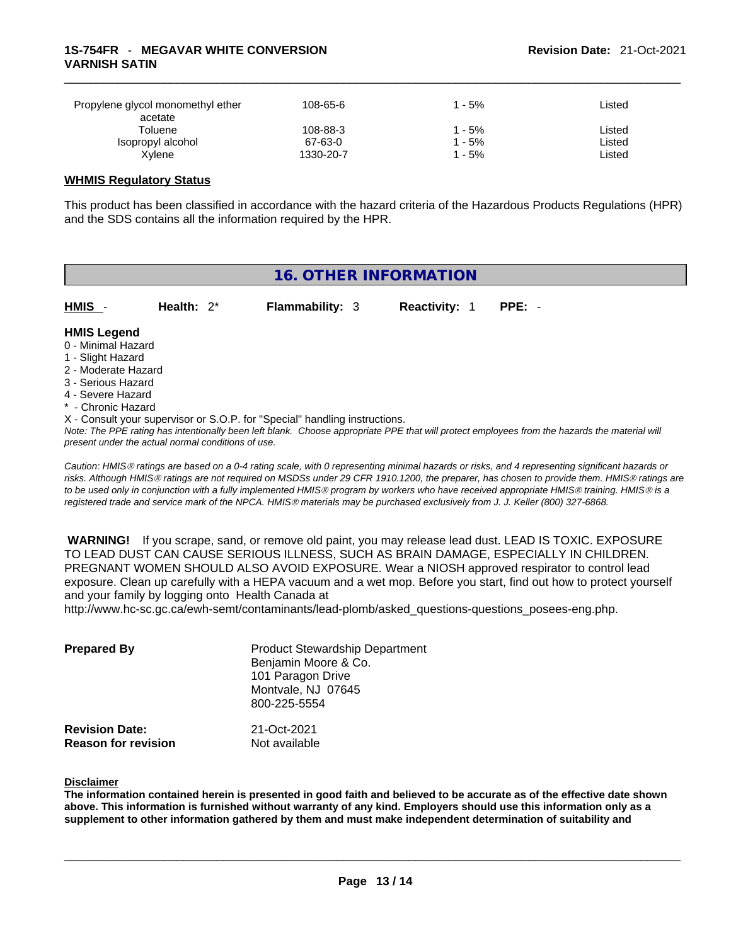| Propylene glycol monomethyl ether<br>acetate | 108-65-6  | - 5% | ∟isted |
|----------------------------------------------|-----------|------|--------|
| Toluene                                      | 108-88-3  | - 5% | Listed |
| Isopropyl alcohol                            | 67-63-0   | - 5% | ∟isted |
| Xvlene                                       | 1330-20-7 | - 5% | ∟isted |

#### **WHMIS Regulatory Status**

This product has been classified in accordance with the hazard criteria of the Hazardous Products Regulations (HPR) and the SDS contains all the information required by the HPR.

# **16. OTHER INFORMATION**  Note: The PPE rating has intentionally been left blank. Choose appropriate PPE that will protect employees from the hazards the material will *present under the actual normal conditions of use. Caution: HMISÒ ratings are based on a 0-4 rating scale, with 0 representing minimal hazards or risks, and 4 representing significant hazards or*  **HMIS** - **Health:** 2\* **Flammability:** 3 **Reactivity:** 1 **PPE:** - **HMIS Legend** 0 - Minimal Hazard 1 - Slight Hazard 2 - Moderate Hazard 3 - Serious Hazard 4 - Severe Hazard \* - Chronic Hazard X - Consult your supervisor or S.O.P. for "Special" handling instructions.

*risks. Although HMISÒ ratings are not required on MSDSs under 29 CFR 1910.1200, the preparer, has chosen to provide them. HMISÒ ratings are to be used only in conjunction with a fully implemented HMISÒ program by workers who have received appropriate HMISÒ training. HMISÒ is a registered trade and service mark of the NPCA. HMISÒ materials may be purchased exclusively from J. J. Keller (800) 327-6868.* 

 **WARNING!** If you scrape, sand, or remove old paint, you may release lead dust. LEAD IS TOXIC. EXPOSURE TO LEAD DUST CAN CAUSE SERIOUS ILLNESS, SUCH AS BRAIN DAMAGE, ESPECIALLY IN CHILDREN. PREGNANT WOMEN SHOULD ALSO AVOID EXPOSURE.Wear a NIOSH approved respirator to control lead exposure. Clean up carefully with a HEPA vacuum and a wet mop. Before you start, find out how to protect yourself and your family by logging onto Health Canada at

http://www.hc-sc.gc.ca/ewh-semt/contaminants/lead-plomb/asked\_questions-questions\_posees-eng.php.

| <b>Prepared By</b>                                  | <b>Product Stewardship Department</b><br>Benjamin Moore & Co.<br>101 Paragon Drive<br>Montvale, NJ 07645<br>800-225-5554 |  |
|-----------------------------------------------------|--------------------------------------------------------------------------------------------------------------------------|--|
| <b>Revision Date:</b><br><b>Reason for revision</b> | 21-Oct-2021<br>Not available                                                                                             |  |

#### **Disclaimer**

The information contained herein is presented in good faith and believed to be accurate as of the effective date shown above. This information is furnished without warranty of any kind. Employers should use this information only as a **supplement to other information gathered by them and must make independent determination of suitability and**